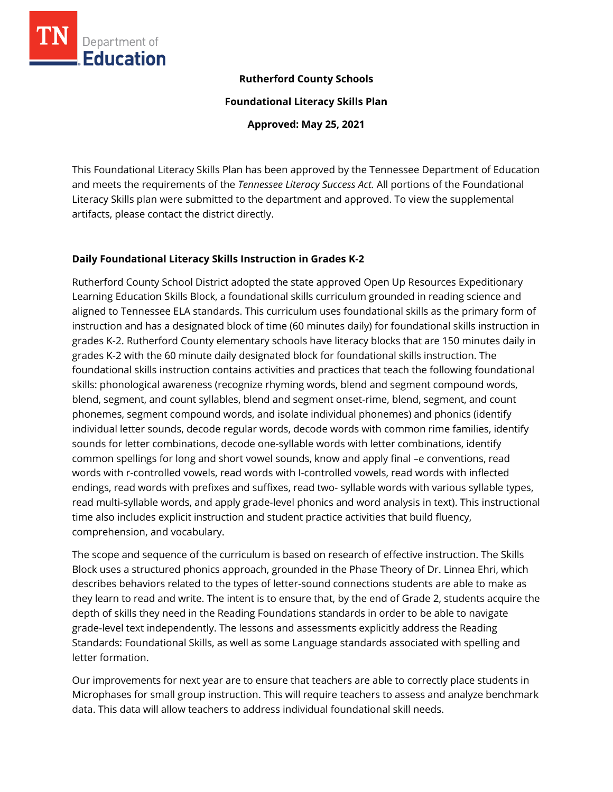

### **Rutherford County Schools**

**Foundational Literacy Skills Plan**

**Approved: May 25, 2021**

This Foundational Literacy Skills Plan has been approved by the Tennessee Department of Education and meets the requirements of the *Tennessee Literacy Success Act.* All portions of the Foundational Literacy Skills plan were submitted to the department and approved. To view the supplemental artifacts, please contact the district directly.

### **Daily Foundational Literacy Skills Instruction in Grades K-2**

Rutherford County School District adopted the state approved Open Up Resources Expeditionary Learning Education Skills Block, a foundational skills curriculum grounded in reading science and aligned to Tennessee ELA standards. This curriculum uses foundational skills as the primary form of instruction and has a designated block of time (60 minutes daily) for foundational skills instruction in grades K-2. Rutherford County elementary schools have literacy blocks that are 150 minutes daily in grades K-2 with the 60 minute daily designated block for foundational skills instruction. The foundational skills instruction contains activities and practices that teach the following foundational skills: phonological awareness (recognize rhyming words, blend and segment compound words, blend, segment, and count syllables, blend and segment onset-rime, blend, segment, and count phonemes, segment compound words, and isolate individual phonemes) and phonics (identify individual letter sounds, decode regular words, decode words with common rime families, identify sounds for letter combinations, decode one-syllable words with letter combinations, identify common spellings for long and short vowel sounds, know and apply final –e conventions, read words with r-controlled vowels, read words with I-controlled vowels, read words with inflected endings, read words with prefixes and suffixes, read two- syllable words with various syllable types, read multi-syllable words, and apply grade-level phonics and word analysis in text). This instructional time also includes explicit instruction and student practice activities that build fluency, comprehension, and vocabulary.

The scope and sequence of the curriculum is based on research of effective instruction. The Skills Block uses a structured phonics approach, grounded in the Phase Theory of Dr. Linnea Ehri, which describes behaviors related to the types of letter-sound connections students are able to make as they learn to read and write. The intent is to ensure that, by the end of Grade 2, students acquire the depth of skills they need in the Reading Foundations standards in order to be able to navigate grade-level text independently. The lessons and assessments explicitly address the Reading Standards: Foundational Skills, as well as some Language standards associated with spelling and letter formation.

Our improvements for next year are to ensure that teachers are able to correctly place students in Microphases for small group instruction. This will require teachers to assess and analyze benchmark data. This data will allow teachers to address individual foundational skill needs.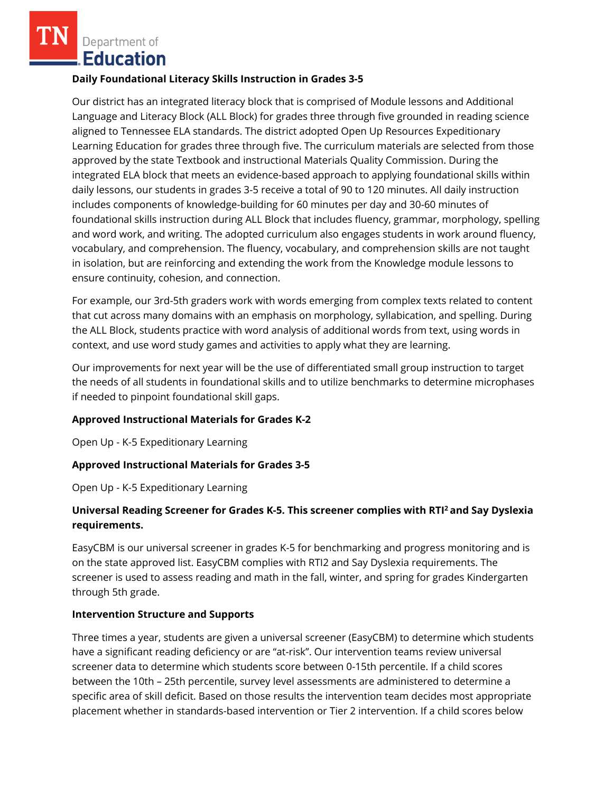Department of **Education** 

#### **Daily Foundational Literacy Skills Instruction in Grades 3-5**

Our district has an integrated literacy block that is comprised of Module lessons and Additional Language and Literacy Block (ALL Block) for grades three through five grounded in reading science aligned to Tennessee ELA standards. The district adopted Open Up Resources Expeditionary Learning Education for grades three through five. The curriculum materials are selected from those approved by the state Textbook and instructional Materials Quality Commission. During the integrated ELA block that meets an evidence-based approach to applying foundational skills within daily lessons, our students in grades 3-5 receive a total of 90 to 120 minutes. All daily instruction includes components of knowledge-building for 60 minutes per day and 30-60 minutes of foundational skills instruction during ALL Block that includes fluency, grammar, morphology, spelling and word work, and writing. The adopted curriculum also engages students in work around fluency, vocabulary, and comprehension. The fluency, vocabulary, and comprehension skills are not taught in isolation, but are reinforcing and extending the work from the Knowledge module lessons to ensure continuity, cohesion, and connection.

For example, our 3rd-5th graders work with words emerging from complex texts related to content that cut across many domains with an emphasis on morphology, syllabication, and spelling. During the ALL Block, students practice with word analysis of additional words from text, using words in context, and use word study games and activities to apply what they are learning.

Our improvements for next year will be the use of differentiated small group instruction to target the needs of all students in foundational skills and to utilize benchmarks to determine microphases if needed to pinpoint foundational skill gaps.

### **Approved Instructional Materials for Grades K-2**

Open Up - K-5 Expeditionary Learning

### **Approved Instructional Materials for Grades 3-5**

Open Up - K-5 Expeditionary Learning

# **Universal Reading Screener for Grades K-5. This screener complies with RTI<sup>2</sup>and Say Dyslexia requirements.**

EasyCBM is our universal screener in grades K-5 for benchmarking and progress monitoring and is on the state approved list. EasyCBM complies with RTI2 and Say Dyslexia requirements. The screener is used to assess reading and math in the fall, winter, and spring for grades Kindergarten through 5th grade.

#### **Intervention Structure and Supports**

Three times a year, students are given a universal screener (EasyCBM) to determine which students have a significant reading deficiency or are "at-risk". Our intervention teams review universal screener data to determine which students score between 0-15th percentile. If a child scores between the 10th – 25th percentile, survey level assessments are administered to determine a specific area of skill deficit. Based on those results the intervention team decides most appropriate placement whether in standards-based intervention or Tier 2 intervention. If a child scores below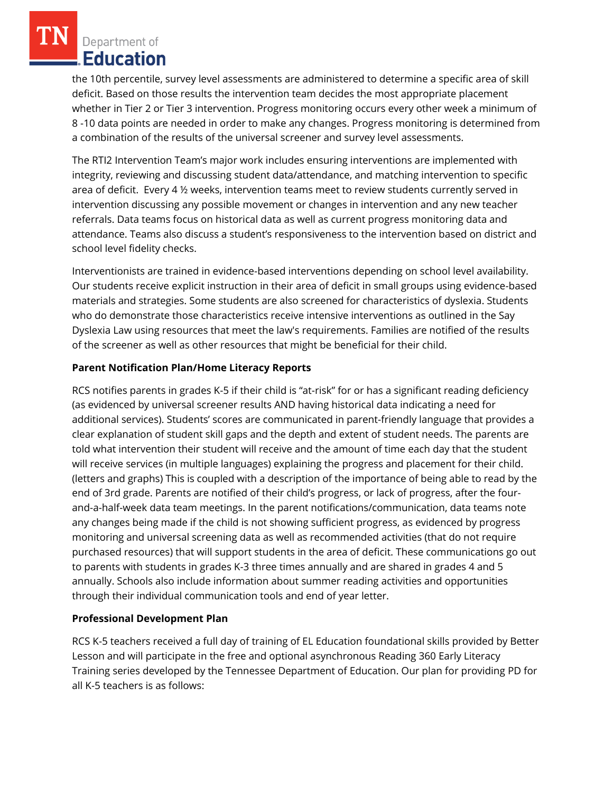Department of **Education** 

the 10th percentile, survey level assessments are administered to determine a specific area of skill deficit. Based on those results the intervention team decides the most appropriate placement whether in Tier 2 or Tier 3 intervention. Progress monitoring occurs every other week a minimum of 8 -10 data points are needed in order to make any changes. Progress monitoring is determined from a combination of the results of the universal screener and survey level assessments.

The RTI2 Intervention Team's major work includes ensuring interventions are implemented with integrity, reviewing and discussing student data/attendance, and matching intervention to specific area of deficit. Every 4 ½ weeks, intervention teams meet to review students currently served in intervention discussing any possible movement or changes in intervention and any new teacher referrals. Data teams focus on historical data as well as current progress monitoring data and attendance. Teams also discuss a student's responsiveness to the intervention based on district and school level fidelity checks.

Interventionists are trained in evidence-based interventions depending on school level availability. Our students receive explicit instruction in their area of deficit in small groups using evidence-based materials and strategies. Some students are also screened for characteristics of dyslexia. Students who do demonstrate those characteristics receive intensive interventions as outlined in the Say Dyslexia Law using resources that meet the law's requirements. Families are notified of the results of the screener as well as other resources that might be beneficial for their child.

### **Parent Notification Plan/Home Literacy Reports**

RCS notifies parents in grades K-5 if their child is "at-risk" for or has a significant reading deficiency (as evidenced by universal screener results AND having historical data indicating a need for additional services). Students' scores are communicated in parent-friendly language that provides a clear explanation of student skill gaps and the depth and extent of student needs. The parents are told what intervention their student will receive and the amount of time each day that the student will receive services (in multiple languages) explaining the progress and placement for their child. (letters and graphs) This is coupled with a description of the importance of being able to read by the end of 3rd grade. Parents are notified of their child's progress, or lack of progress, after the fourand-a-half-week data team meetings. In the parent notifications/communication, data teams note any changes being made if the child is not showing sufficient progress, as evidenced by progress monitoring and universal screening data as well as recommended activities (that do not require purchased resources) that will support students in the area of deficit. These communications go out to parents with students in grades K-3 three times annually and are shared in grades 4 and 5 annually. Schools also include information about summer reading activities and opportunities through their individual communication tools and end of year letter.

# **Professional Development Plan**

RCS K-5 teachers received a full day of training of EL Education foundational skills provided by Better Lesson and will participate in the free and optional asynchronous Reading 360 Early Literacy Training series developed by the Tennessee Department of Education. Our plan for providing PD for all K-5 teachers is as follows: